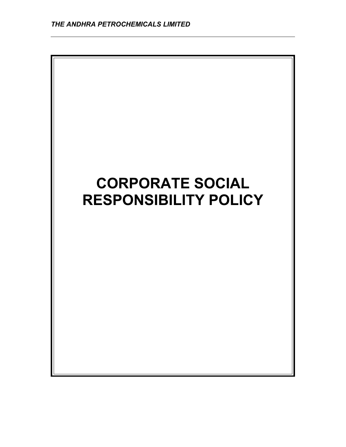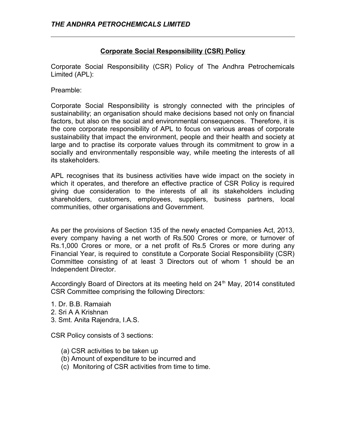## **Corporate Social Responsibility (CSR) Policy**

Corporate Social Responsibility (CSR) Policy of The Andhra Petrochemicals Limited (APL):

Preamble:

Corporate Social Responsibility is strongly connected with the principles of sustainability; an organisation should make decisions based not only on financial factors, but also on the social and environmental consequences. Therefore, it is the core corporate responsibility of APL to focus on various areas of corporate sustainability that impact the environment, people and their health and society at large and to practise its corporate values through its commitment to grow in a socially and environmentally responsible way, while meeting the interests of all its stakeholders.

APL recognises that its business activities have wide impact on the society in which it operates, and therefore an effective practice of CSR Policy is required giving due consideration to the interests of all its stakeholders including shareholders, customers, employees, suppliers, business partners, local communities, other organisations and Government.

As per the provisions of Section 135 of the newly enacted Companies Act, 2013, every company having a net worth of Rs.500 Crores or more, or turnover of Rs.1,000 Crores or more, or a net profit of Rs.5 Crores or more during any Financial Year, is required to constitute a Corporate Social Responsibility (CSR) Committee consisting of at least 3 Directors out of whom 1 should be an Independent Director.

Accordingly Board of Directors at its meeting held on  $24<sup>th</sup>$  May, 2014 constituted CSR Committee comprising the following Directors:

- 1. Dr. B.B. Ramaiah
- 2. Sri A A Krishnan
- 3. Smt. Anita Rajendra, I.A.S.

CSR Policy consists of 3 sections:

- (a) CSR activities to be taken up
- (b) Amount of expenditure to be incurred and
- (c) Monitoring of CSR activities from time to time.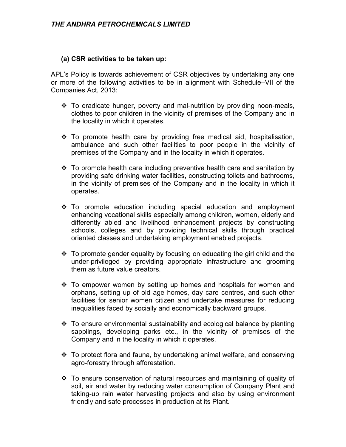## **(a) CSR activities to be taken up:**

APL's Policy is towards achievement of CSR objectives by undertaking any one or more of the following activities to be in alignment with Schedule–VII of the Companies Act, 2013:

- To eradicate hunger, poverty and mal-nutrition by providing noon-meals, clothes to poor children in the vicinity of premises of the Company and in the locality in which it operates.
- \* To promote health care by providing free medical aid, hospitalisation, ambulance and such other facilities to poor people in the vicinity of premises of the Company and in the locality in which it operates.
- $\cdot$  To promote health care including preventive health care and sanitation by providing safe drinking water facilities, constructing toilets and bathrooms, in the vicinity of premises of the Company and in the locality in which it operates.
- \* To promote education including special education and employment enhancing vocational skills especially among children, women, elderly and differently abled and livelihood enhancement projects by constructing schools, colleges and by providing technical skills through practical oriented classes and undertaking employment enabled projects.
- $\cdot \cdot$  To promote gender equality by focusing on educating the girl child and the under-privileged by providing appropriate infrastructure and grooming them as future value creators.
- \* To empower women by setting up homes and hospitals for women and orphans, setting up of old age homes, day care centres, and such other facilities for senior women citizen and undertake measures for reducing inequalities faced by socially and economically backward groups.
- To ensure environmental sustainability and ecological balance by planting sapplings, developing parks etc., in the vicinity of premises of the Company and in the locality in which it operates.
- To protect flora and fauna, by undertaking animal welfare, and conserving agro-forestry through afforestation.
- \* To ensure conservation of natural resources and maintaining of quality of soil, air and water by reducing water consumption of Company Plant and taking-up rain water harvesting projects and also by using environment friendly and safe processes in production at its Plant.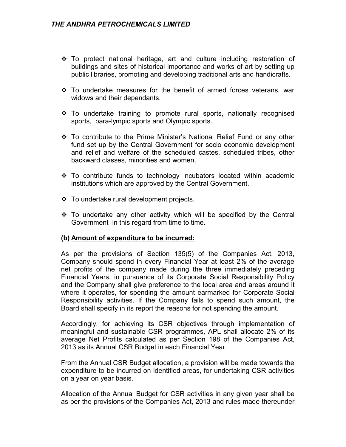- \* To protect national heritage, art and culture including restoration of buildings and sites of historical importance and works of art by setting up public libraries, promoting and developing traditional arts and handicrafts.
- $\div$  To undertake measures for the benefit of armed forces veterans, war widows and their dependants.
- To undertake training to promote rural sports, nationally recognised sports, para-lympic sports and Olympic sports.
- To contribute to the Prime Minister's National Relief Fund or any other fund set up by the Central Government for socio economic development and relief and welfare of the scheduled castes, scheduled tribes, other backward classes, minorities and women.
- $\cdot$  To contribute funds to technology incubators located within academic institutions which are approved by the Central Government.
- To undertake rural development projects.
- $\div$  To undertake any other activity which will be specified by the Central Government in this regard from time to time.

## **(b) Amount of expenditure to be incurred:**

As per the provisions of Section 135(5) of the Companies Act, 2013, Company should spend in every Financial Year at least 2% of the average net profits of the company made during the three immediately preceding Financial Years, in pursuance of its Corporate Social Responsibility Policy and the Company shall give preference to the local area and areas around it where it operates, for spending the amount earmarked for Corporate Social Responsibility activities. If the Company fails to spend such amount, the Board shall specify in its report the reasons for not spending the amount.

Accordingly, for achieving its CSR objectives through implementation of meaningful and sustainable CSR programmes, APL shall allocate 2% of its average Net Profits calculated as per Section 198 of the Companies Act, 2013 as its Annual CSR Budget in each Financial Year.

From the Annual CSR Budget allocation, a provision will be made towards the expenditure to be incurred on identified areas, for undertaking CSR activities on a year on year basis.

Allocation of the Annual Budget for CSR activities in any given year shall be as per the provisions of the Companies Act, 2013 and rules made thereunder